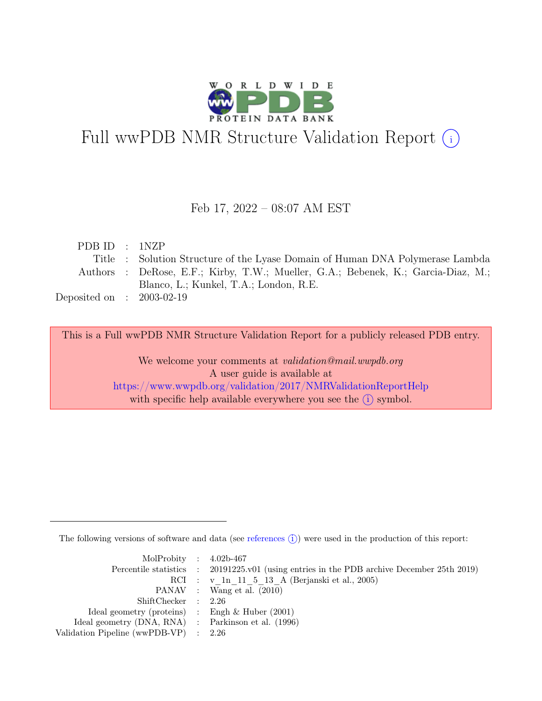

# Full wwPDB NMR Structure Validation Report (i)

#### Feb 17, 2022 – 08:07 AM EST

| PDBID : INZP                                                                      |
|-----------------------------------------------------------------------------------|
| Title : Solution Structure of the Lyase Domain of Human DNA Polymerase Lambda     |
| Authors : DeRose, E.F.; Kirby, T.W.; Mueller, G.A.; Bebenek, K.; Garcia-Diaz, M.; |
| Blanco, L.; Kunkel, T.A.; London, R.E.                                            |
| Deposited on : $2003-02-19$                                                       |
|                                                                                   |

This is a Full wwPDB NMR Structure Validation Report for a publicly released PDB entry.

We welcome your comments at *validation@mail.wwpdb.org* A user guide is available at <https://www.wwpdb.org/validation/2017/NMRValidationReportHelp> with specific help available everywhere you see the  $(i)$  symbol.

The following versions of software and data (see [references](https://www.wwpdb.org/validation/2017/NMRValidationReportHelp#references)  $\hat{I}$ ) were used in the production of this report:

| MolProbity : $4.02b-467$                            |                                                                                            |
|-----------------------------------------------------|--------------------------------------------------------------------------------------------|
|                                                     | Percentile statistics : 20191225.v01 (using entries in the PDB archive December 25th 2019) |
|                                                     | RCI : v 1n 11 5 13 A (Berjanski et al., 2005)                                              |
|                                                     | PANAV : Wang et al. (2010)                                                                 |
| ShiftChecker : 2.26                                 |                                                                                            |
| Ideal geometry (proteins) : Engh $\&$ Huber (2001)  |                                                                                            |
| Ideal geometry (DNA, RNA) : Parkinson et al. (1996) |                                                                                            |
| Validation Pipeline (wwPDB-VP) $\therefore$ 2.26    |                                                                                            |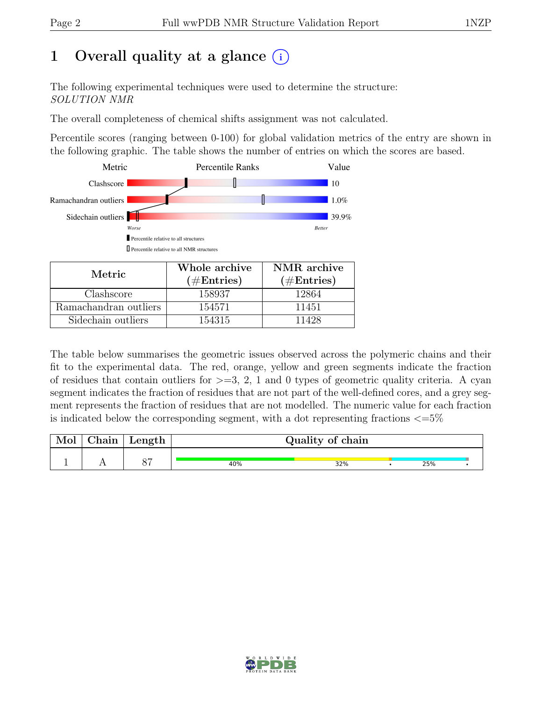# 1 Overall quality at a glance  $(i)$

The following experimental techniques were used to determine the structure: SOLUTION NMR

The overall completeness of chemical shifts assignment was not calculated.

Percentile scores (ranging between 0-100) for global validation metrics of the entry are shown in the following graphic. The table shows the number of entries on which the scores are based.



| Metric.               | Whole archive | NMR archive   |  |  |
|-----------------------|---------------|---------------|--|--|
|                       | $(\#Entries)$ | $(\#Entries)$ |  |  |
| Clashscore            | 158937        | 12864         |  |  |
| Ramachandran outliers | 154571        | 11451         |  |  |
| Sidechain outliers    | 154315        | 11428         |  |  |

The table below summarises the geometric issues observed across the polymeric chains and their fit to the experimental data. The red, orange, yellow and green segments indicate the fraction of residues that contain outliers for  $>=$  3, 2, 1 and 0 types of geometric quality criteria. A cyan segment indicates the fraction of residues that are not part of the well-defined cores, and a grey segment represents the fraction of residues that are not modelled. The numeric value for each fraction is indicated below the corresponding segment, with a dot representing fractions  $\langle=5\%$ 

| Mol | Chain | Length |     | Quality of chain |     |  |
|-----|-------|--------|-----|------------------|-----|--|
|     |       |        | 40% | 32%              | 25% |  |

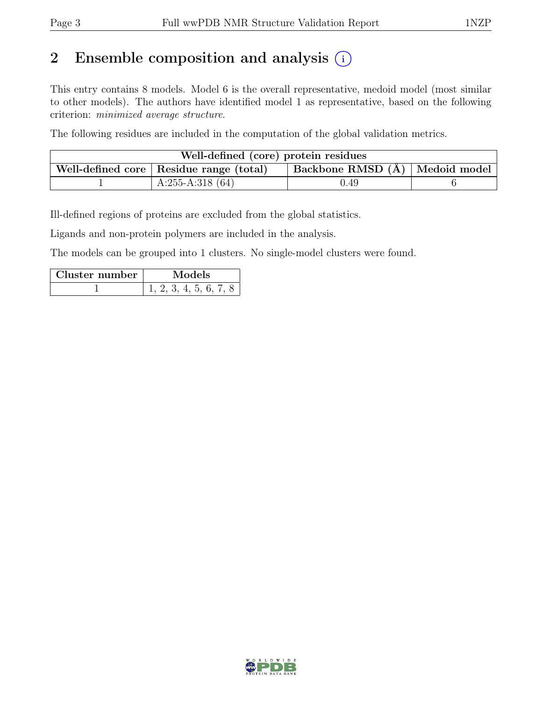# 2 Ensemble composition and analysis  $(i)$

This entry contains 8 models. Model 6 is the overall representative, medoid model (most similar to other models). The authors have identified model 1 as representative, based on the following criterion: minimized average structure.

The following residues are included in the computation of the global validation metrics.

| Well-defined (core) protein residues                                            |                   |      |  |  |  |  |  |
|---------------------------------------------------------------------------------|-------------------|------|--|--|--|--|--|
| Backbone RMSD (Å)   Medoid model  <br>Well-defined core   Residue range (total) |                   |      |  |  |  |  |  |
|                                                                                 | $A:255-A:318(64)$ | 0.49 |  |  |  |  |  |

Ill-defined regions of proteins are excluded from the global statistics.

Ligands and non-protein polymers are included in the analysis.

The models can be grouped into 1 clusters. No single-model clusters were found.

| Cluster number | Models                 |  |  |  |  |  |
|----------------|------------------------|--|--|--|--|--|
|                | 1, 2, 3, 4, 5, 6, 7, 8 |  |  |  |  |  |

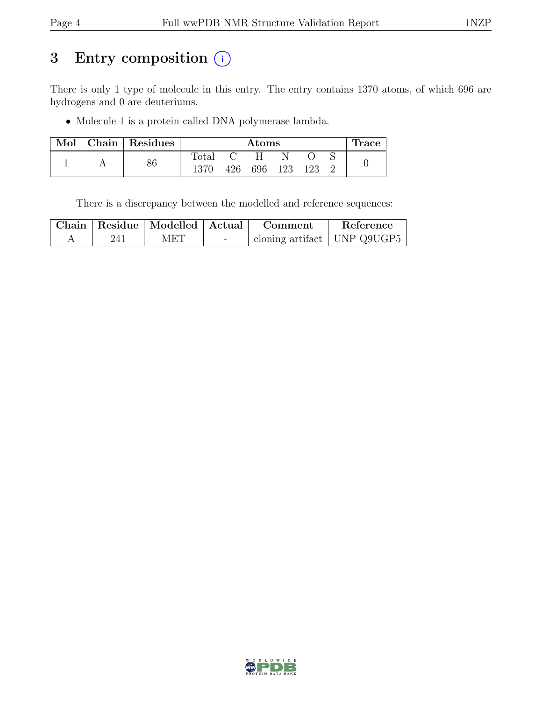# 3 Entry composition (i)

There is only 1 type of molecule in this entry. The entry contains 1370 atoms, of which 696 are hydrogens and 0 are deuteriums.

• Molecule 1 is a protein called DNA polymerase lambda.

| Mol |    | Chain   Residues |                | Atoms |     |     |  |  | <b>Trace</b> |
|-----|----|------------------|----------------|-------|-----|-----|--|--|--------------|
|     |    |                  | $_{\rm Total}$ |       |     |     |  |  |              |
|     | 86 | 1370             | 426            | 696   | 123 | 123 |  |  |              |

There is a discrepancy between the modelled and reference sequences:

|     | Chain   Residue   Modelled   Actual |        | Comment                       | Reference |
|-----|-------------------------------------|--------|-------------------------------|-----------|
| 241 | MET                                 | $\sim$ | cloning artifact   UNP Q9UGP5 |           |

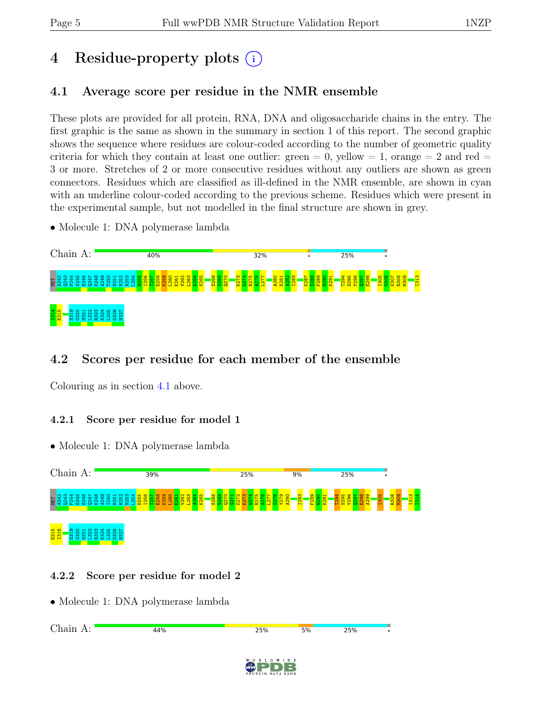# 4 Residue-property plots (i)

## <span id="page-4-0"></span>4.1 Average score per residue in the NMR ensemble

These plots are provided for all protein, RNA, DNA and oligosaccharide chains in the entry. The first graphic is the same as shown in the summary in section 1 of this report. The second graphic shows the sequence where residues are colour-coded according to the number of geometric quality criteria for which they contain at least one outlier:  $green = 0$ ,  $yellow = 1$ ,  $orange = 2$  and  $red =$ 3 or more. Stretches of 2 or more consecutive residues without any outliers are shown as green connectors. Residues which are classified as ill-defined in the NMR ensemble, are shown in cyan with an underline colour-coded according to the previous scheme. Residues which were present in the experimental sample, but not modelled in the final structure are shown in grey.

• Molecule 1: DNA polymerase lambda



## 4.2 Scores per residue for each member of the ensemble

Colouring as in section [4.1](#page-4-0) above.

#### 4.2.1 Score per residue for model 1

• Molecule 1: DNA polymerase lambda



#### 4.2.2 Score per residue for model 2

• Molecule 1: DNA polymerase lambda

Chain A:44% 25% 25%  $5%$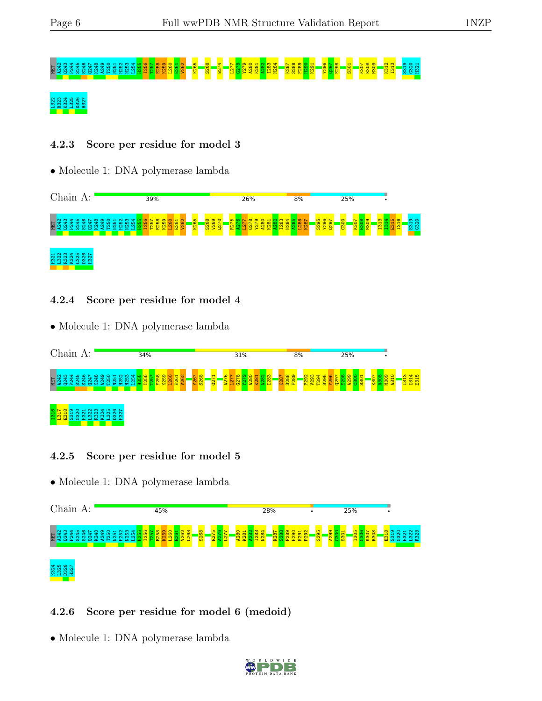# MET A242 Q243 P244 S245 S246 Q247 K248 A249 T250 N251 H252 N253 L254 H255 I256 T257 E258 K259 L260 E261 V262 K265 S268 W274 L277 G278 Y279 A280 K281 A282 I283 N284 K287 S288 F289 H290 K291 Y296 Q297 E298 S301 K307 R308 M309 K312 I313 S319 G320 H321

## D326<br>H327

#### 4.2.3 Score per residue for model 3

• Molecule 1: DNA polymerase lambda



#### 4.2.4 Score per residue for model 4

• Molecule 1: DNA polymerase lambda



#### 4.2.5 Score per residue for model 5

• Molecule 1: DNA polymerase lambda



#### 4.2.6 Score per residue for model 6 (medoid)

• Molecule 1: DNA polymerase lambda

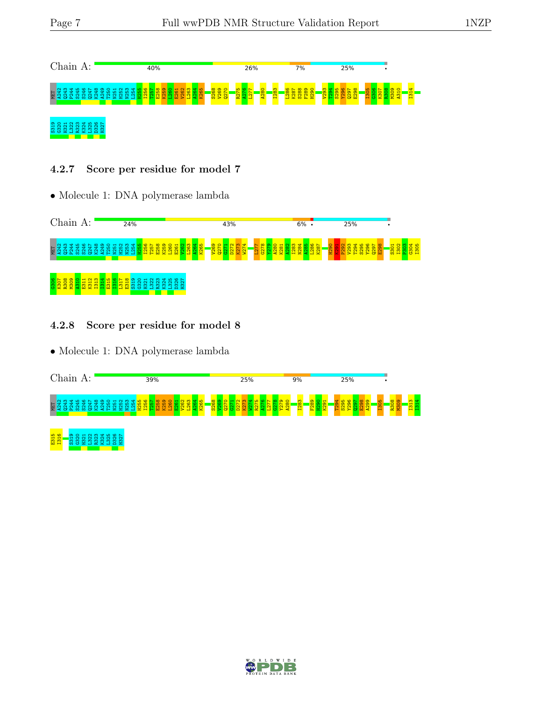

#### 4.2.7 Score per residue for model 7

• Molecule 1: DNA polymerase lambda



#### 4.2.8 Score per residue for model 8

• Molecule 1: DNA polymerase lambda



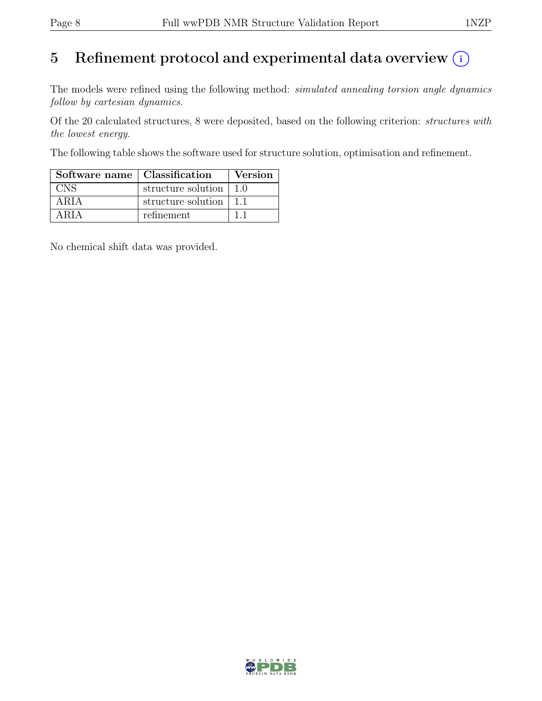# 5 Refinement protocol and experimental data overview  $\odot$

The models were refined using the following method: *simulated annealing torsion angle dynamics* follow by cartesian dynamics.

Of the 20 calculated structures, 8 were deposited, based on the following criterion: structures with the lowest energy.

The following table shows the software used for structure solution, optimisation and refinement.

| Software name   Classification |                                        | <b>Version</b> |
|--------------------------------|----------------------------------------|----------------|
| <b>CNS</b>                     | structure solution $\vert 1.0 \rangle$ |                |
| ARIA                           | structure solution   1.1               |                |
| ARIA                           | refinement                             |                |

No chemical shift data was provided.

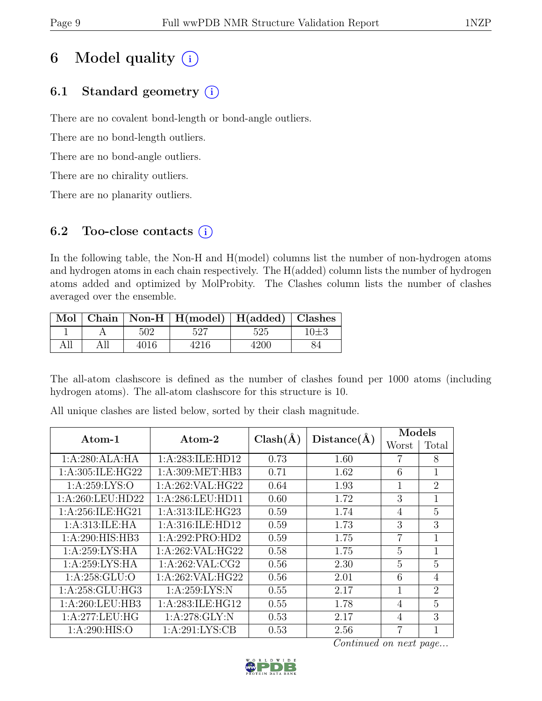# 6 Model quality  $(i)$

## 6.1 Standard geometry  $(i)$

There are no covalent bond-length or bond-angle outliers.

There are no bond-length outliers.

There are no bond-angle outliers.

There are no chirality outliers.

There are no planarity outliers.

## 6.2 Too-close contacts  $(i)$

In the following table, the Non-H and H(model) columns list the number of non-hydrogen atoms and hydrogen atoms in each chain respectively. The H(added) column lists the number of hydrogen atoms added and optimized by MolProbity. The Clashes column lists the number of clashes averaged over the ensemble.

|     |     |      | Mol   Chain   Non-H   H(model)   H(added)   Clashes |      |    |
|-----|-----|------|-----------------------------------------------------|------|----|
|     |     | 502  | 527                                                 | 525  |    |
| All | All | 4016 | 4216                                                | 4200 | 84 |

The all-atom clashscore is defined as the number of clashes found per 1000 atoms (including hydrogen atoms). The all-atom clashscore for this structure is 10.

| $\rm{Atom}\text{-}1$ | Atom-2              | $Clash(\AA)$ | Distance(A) | Models         |                |  |
|----------------------|---------------------|--------------|-------------|----------------|----------------|--|
|                      |                     |              |             | Worst          | Total          |  |
| 1:A:280:ALA:HA       | 1: A:283: ILE: HD12 | 0.73         | 1.60        | 7              | 8              |  |
| 1:A:305:ILE:HG22     | 1: A:309: MET:HB3   | 0.71         | 1.62        | 6              | 1              |  |
| 1:A:259:LYS:O        | 1:A:262:VAL:HG22    | 0.64         | 1.93        | $\mathbf{1}$   | $\overline{2}$ |  |
| 1:A:260:LEU:HD22     | 1:A:286:LEU:HD11    | 0.60         | 1.72        | 3              | 1              |  |
| 1:A:256:ILE:HG21     | 1:A:313:ILE:HG23    | 0.59         | 1.74        | $\overline{4}$ | 5              |  |
| 1:A:313:ILE:HA       | 1:A:316:ILE:HD12    | 0.59         | 1.73        | 3              | 3              |  |
| 1:A:290:HIS:HB3      | 1:A:292:PRO:HD2     | 0.59         | 1.75        | $\overline{7}$ | $\overline{1}$ |  |
| 1:A:259:LYS:HA       | 1:A:262:VAL:HG22    | 0.58         | 1.75        | 5              | 1              |  |
| 1:A:259:LYS:HA       | 1: A:262: VAL:CG2   | 0.56         | 2.30        | 5              | 5              |  |
| 1:A:258:GLU:O        | 1:A:262:VAL:HG22    | 0.56         | 2.01        | 6              | $\overline{4}$ |  |
| 1:A:258:GLU:HG3      | 1: A:259: LYS:N     | 0.55         | 2.17        | $\mathbf{1}$   | $\overline{2}$ |  |
| 1:A:260:LEU:HB3      | 1: A:283: ILE: HG12 | 0.55         | 1.78        | $\overline{4}$ | 5              |  |
| 1:A:277:LEU:HG       | 1:A:278:GLY:N       | 0.53         | 2.17        | $\overline{4}$ | 3              |  |
| 1: A:290: HIS:O      | 1: A:291: LYS: CB   | 0.53         | 2.56        | 7              | 1              |  |

All unique clashes are listed below, sorted by their clash magnitude.

Continued on next page...

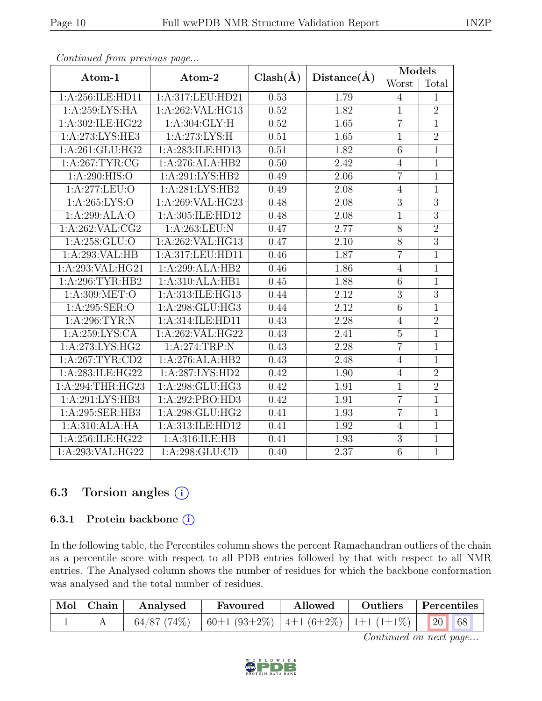| Atom-1             | Atom-2                              | $Clash(\AA)$ | Distance(A)       | Models         |                |  |
|--------------------|-------------------------------------|--------------|-------------------|----------------|----------------|--|
|                    |                                     |              |                   | Worst          | Total          |  |
| 1:A:256:ILE:HD11   | 1:A:317:LEU:HD21                    | 0.53         | 1.79              | $\overline{4}$ | 1              |  |
| 1:A:259:LYS:HA     | 1:A:262:VAL:HG13                    | 0.52         | 1.82              | $\overline{1}$ | $\overline{2}$ |  |
| 1:A:302:ILE:HG22   | 1: A:304: GLY: H                    | 0.52         | 1.65              | $\overline{7}$ | $\mathbf 1$    |  |
| 1: A:273: LYS: HE3 | 1:A:273:LYS:H                       | 0.51         | 1.65              | $\overline{1}$ | $\overline{2}$ |  |
| 1:A:261:GLU:HG2    | 1:A:283:ILE:HD13                    | 0.51         | 1.82              | $\,$ 6 $\,$    | $\mathbf{1}$   |  |
| 1: A:267:TYR:CG    | 1:A:276:ALA:HB2                     | 0.50         | 2.42              | $\overline{4}$ | $\overline{1}$ |  |
| 1:A:290:HIS:O      | 1:A:291:LYS:HB2                     | 0.49         | 2.06              | $\overline{7}$ | $\mathbf{1}$   |  |
| 1:A:277:LEU:O      | 1:A:281:LYS:HB2                     | 0.49         | 2.08              | $\overline{4}$ | $\mathbf 1$    |  |
| 1: A:265: LYS:O    | 1:A:269:VAL:HG23                    | 0.48         | 2.08              | $\overline{3}$ | $\overline{3}$ |  |
| 1:A:299:ALA:O      | 1:A:305:ILE:HD12                    | 0.48         | 2.08              | $\mathbf{1}$   | $\overline{3}$ |  |
| 1: A:262: VAL: CG2 | 1:A:263:LEU:N                       | 0.47         | 2.77              | 8              | $\overline{2}$ |  |
| 1:A:258:GLU:O      | 1:A:262:VAL:HG13                    | 0.47         | 2.10              | 8              | $\overline{3}$ |  |
| 1:A:293:VAL:HB     | 1:A:317:LEU:HD11                    | 0.46         | 1.87              | $\overline{7}$ | $\overline{1}$ |  |
| 1:A:293:VAL:HG21   | 1:A:299:ALA:HB2                     | 0.46         | 1.86              | $\overline{4}$ | $\overline{1}$ |  |
| 1: A:296:TYR:HB2   | 1:A:310:ALA:HB1                     | 0.45         | 1.88              | 6              | $\overline{1}$ |  |
| 1: A:309: MET:O    | 1:A:313:ILE:HG13                    | 0.44         | 2.12              | $\overline{3}$ | $\overline{3}$ |  |
| 1:A:295:SER:O      | 1:A:298:GLU:HG3                     | 0.44         | 2.12              | 6              | $\overline{1}$ |  |
| 1:A:296:TYR:N      | $1:A:314:\overline{\text{LE:HD11}}$ | 0.43         | 2.28              | $\overline{4}$ | $\overline{2}$ |  |
| 1:A:259:LYS:CA     | 1:A:262:VAL:HG22                    | 0.43         | 2.41              | $\overline{5}$ | $\overline{1}$ |  |
| 1:A:273:LYS:HG2    | $1: A:274:TRP:\overline{N}$         | 0.43         | 2.28              | $\overline{7}$ | $\mathbf{1}$   |  |
| 1: A:267:TYR:CD2   | 1:A:276:ALA:HB2                     | 0.43         | 2.48              | $\overline{4}$ | $\overline{1}$ |  |
| 1:A:283:ILE:HG22   | 1:A:287:LYS:HD2                     | 0.42         | 1.90              | $\overline{4}$ | $\overline{2}$ |  |
| 1:A:294:THR:HG23   | 1:A:298:GLU:HG3                     | 0.42         | 1.91              | $\overline{1}$ | $\overline{2}$ |  |
| 1:A:291:LYS:HB3    | 1:A:292:PRO:HD3                     | 0.42         | 1.91              | $\overline{7}$ | $\overline{1}$ |  |
| 1:A:295:SER:HB3    | 1:A:298:GLU:HG2                     | 0.41         | 1.93              | $\overline{7}$ | $\overline{1}$ |  |
| 1:A:310:ALA:HA     | 1:A:313:ILE:HD12                    | 0.41         | 1.92              | $\overline{4}$ | $\mathbf{1}$   |  |
| 1:A:256:ILE:HG22   | 1:A:316:ILE:HB                      | 0.41         | 1.93              | 3              | $\overline{1}$ |  |
| 1:A:293:VAL:HG22   | 1: A:298: GLU:CD                    | 0.40         | $\overline{2}.37$ | $\overline{6}$ | $\overline{1}$ |  |

Continued from previous page...

### 6.3 Torsion angles (i)

#### 6.3.1 Protein backbone ①

In the following table, the Percentiles column shows the percent Ramachandran outliers of the chain as a percentile score with respect to all PDB entries followed by that with respect to all NMR entries. The Analysed column shows the number of residues for which the backbone conformation was analysed and the total number of residues.

| $\mid$ Mol $\mid$ Chain $\mid$ | Analysed | Favoured                                                       | Allowed | Outliers Percentiles |  |
|--------------------------------|----------|----------------------------------------------------------------|---------|----------------------|--|
|                                |          | 64/87 (74%)   60±1 (93±2%)   4±1 (6±2%)   1±1 (1±1%)   20   68 |         |                      |  |

Continued on next page...

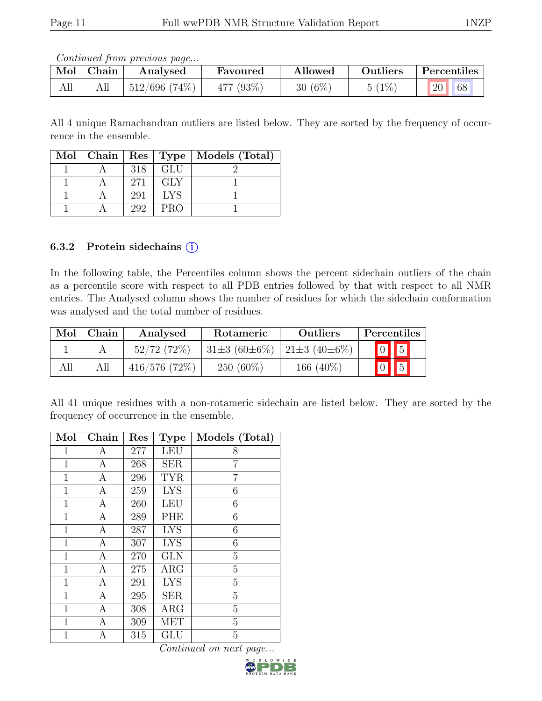Continued from previous page...

| $\blacksquare$ Mol | <b>Chain</b> | Analysed         | Favoured  | Allowed   | Outliers | Percentiles |
|--------------------|--------------|------------------|-----------|-----------|----------|-------------|
| All                | All          | $512/696$ (74\%) | 477 (93%) | $30(6\%)$ | $(1\%)$  | 20<br>68    |

All 4 unique Ramachandran outliers are listed below. They are sorted by the frequency of occurrence in the ensemble.

|  |     |            | Mol   Chain   Res   Type   Models (Total) |
|--|-----|------------|-------------------------------------------|
|  | 318 | - GLU      |                                           |
|  | 271 | <b>GLY</b> |                                           |
|  | 291 | - LYS      |                                           |
|  | 292 | <b>PRO</b> |                                           |

#### 6.3.2 Protein side chains  $(i)$

In the following table, the Percentiles column shows the percent sidechain outliers of the chain as a percentile score with respect to all PDB entries followed by that with respect to all NMR entries. The Analysed column shows the number of residues for which the sidechain conformation was analysed and the total number of residues.

| Mol | Chain | Analysed      | Rotameric                               | <b>Outliers</b> | Percentiles             |
|-----|-------|---------------|-----------------------------------------|-----------------|-------------------------|
|     |       | $52/72(72\%)$ | $31\pm3(60\pm6\%)$   $21\pm3(40\pm6\%)$ |                 | $\boxed{0}$ $\boxed{5}$ |
| All | All   | 416/576(72%)  | $250(60\%)$                             | 166 $(40\%)$    | $\boxed{0}$ $\boxed{5}$ |

All 41 unique residues with a non-rotameric sidechain are listed below. They are sorted by the frequency of occurrence in the ensemble.

| Mol          | Chain            | Res | <b>Type</b> | Models (Total) |
|--------------|------------------|-----|-------------|----------------|
| 1            | Α                | 277 | <b>LEU</b>  | 8              |
| $\mathbf 1$  | А                | 268 | <b>SER</b>  | 7              |
| $\mathbf{1}$ | $\boldsymbol{A}$ | 296 | <b>TYR</b>  | 7              |
| 1            | $\boldsymbol{A}$ | 259 | <b>LYS</b>  | 6              |
| $\mathbf{1}$ | A                | 260 | <b>LEU</b>  | 6              |
| $\mathbf 1$  | A                | 289 | PHE         | 6              |
| $\mathbf{1}$ | $\mathbf{A}$     | 287 | <b>LYS</b>  | 6              |
| $\mathbf{1}$ | A                | 307 | <b>LYS</b>  | 6              |
| $\mathbf{1}$ | $\boldsymbol{A}$ | 270 | <b>GLN</b>  | $\overline{5}$ |
| $\mathbf{1}$ | $\boldsymbol{A}$ | 275 | $\rm{ARG}$  | 5              |
| $\mathbf 1$  | A                | 291 | <b>LYS</b>  | 5              |
| $\mathbf 1$  | $\boldsymbol{A}$ | 295 | <b>SER</b>  | $\overline{5}$ |
| $\mathbf{1}$ | $\boldsymbol{A}$ | 308 | ARG         | 5              |
| 1            | A                | 309 | <b>MET</b>  | $\overline{5}$ |
| $\mathbf 1$  | А                | 315 | GLU         | 5              |

Continued on next page...

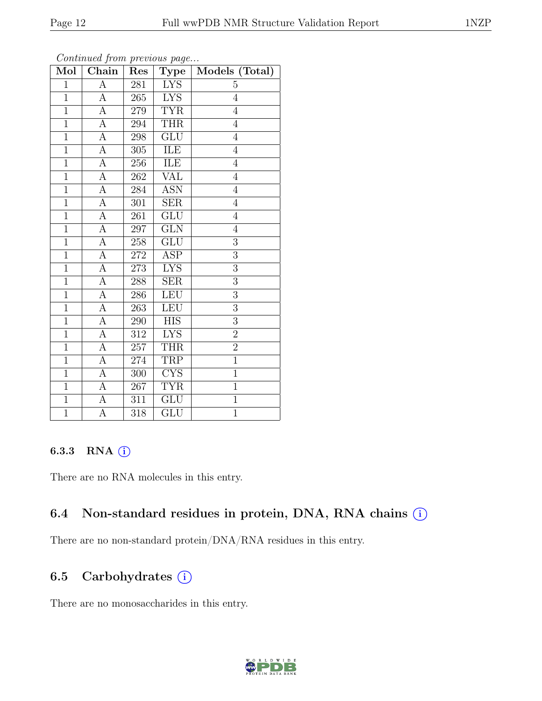| Mol            | Convenaca from previous page<br>Chain | Res     | <b>Type</b>             | Models (Total) |
|----------------|---------------------------------------|---------|-------------------------|----------------|
| $\overline{1}$ | $\overline{A}$                        | $281\,$ | <b>LYS</b>              | 5              |
| $\overline{1}$ | $\boldsymbol{A}$                      | $265\,$ | <b>LYS</b>              | $\overline{4}$ |
| $\overline{1}$ | $\overline{A}$                        | $279\,$ | <b>TYR</b>              | $\overline{4}$ |
| $\overline{1}$ | $\overline{A}$                        | 294     | <b>THR</b>              | $\overline{4}$ |
| $\overline{1}$ | $\overline{A}$                        | 298     | $\overline{\text{GLU}}$ | $\overline{4}$ |
| $\overline{1}$ | A                                     | $305\,$ | ILE                     | $\overline{4}$ |
| $\mathbf{1}$   | $\boldsymbol{A}$                      | $256\,$ | ILE                     | $\overline{4}$ |
| $\overline{1}$ | $\overline{A}$                        | 262     | <b>VAL</b>              | $\overline{4}$ |
| $\mathbf{1}$   | $\boldsymbol{A}$                      | 284     | <b>ASN</b>              | $\overline{4}$ |
| $\overline{1}$ | А                                     | $301\,$ | SER                     | $\sqrt{4}$     |
| $\mathbf{1}$   | $\overline{A}$                        | 261     | $\overline{\text{GLU}}$ | $\overline{4}$ |
| $\overline{1}$ | $\overline{A}$                        | $\,297$ | $\overline{\text{GLN}}$ | $\overline{4}$ |
| $\overline{1}$ | $\overline{A}$                        | $258\,$ | <b>GLU</b>              | $\overline{3}$ |
| $\overline{1}$ | А                                     | $272\,$ | ASP                     | 3              |
| $\overline{1}$ | $\overline{A}$                        | 273     | <b>LYS</b>              | $\overline{3}$ |
| $\overline{1}$ | $\overline{A}$                        | 288     | <b>SER</b>              | $\overline{3}$ |
| $\overline{1}$ | $\overline{A}$                        | 286     | <b>LEU</b>              | $\overline{3}$ |
| $\mathbf{1}$   | A                                     | 263     | LEU                     | $\overline{3}$ |
| $\mathbf{1}$   | A                                     | 290     | <b>HIS</b>              | 3              |
| $\mathbf{1}$   | $\overline{A}$                        | $312\,$ | <b>LYS</b>              | $\overline{2}$ |
| $\mathbf{1}$   | A                                     | $257\,$ | <b>THR</b>              | $\overline{2}$ |
| $\mathbf{1}$   | $\overline{A}$                        | 274     | <b>TRP</b>              | $\overline{1}$ |
| $\overline{1}$ | $\boldsymbol{A}$                      | $300\,$ | <b>CYS</b>              | $\mathbf{1}$   |
| $\overline{1}$ | $\overline{A}$                        | 267     | <b>TYR</b>              | $\overline{1}$ |
| $\overline{1}$ | А                                     | 311     | <b>GLU</b>              | $\overline{1}$ |
| $\overline{1}$ | $\overline{\rm A}$                    | 318     | $\overline{\text{GLU}}$ | $\overline{1}$ |

Continued from previous page.

#### 6.3.3 RNA  $(i)$

There are no RNA molecules in this entry.

#### 6.4 Non-standard residues in protein, DNA, RNA chains  $(i)$

There are no non-standard protein/DNA/RNA residues in this entry.

## 6.5 Carbohydrates (i)

There are no monosaccharides in this entry.

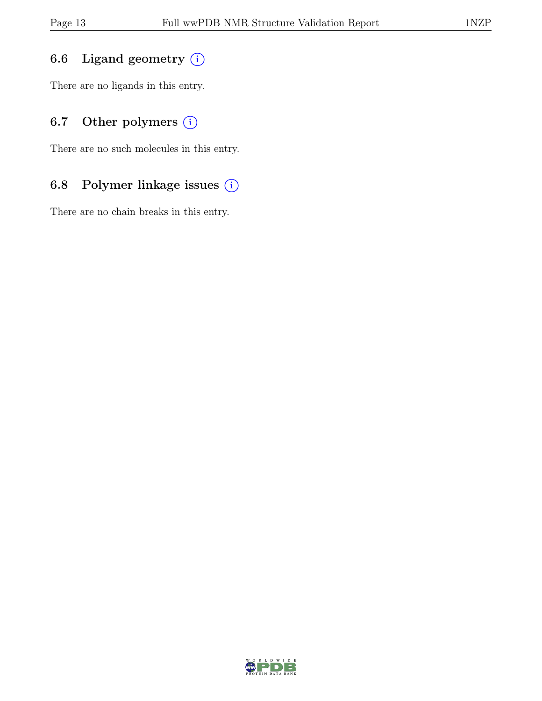## 6.6 Ligand geometry  $(i)$

There are no ligands in this entry.

## 6.7 Other polymers  $(i)$

There are no such molecules in this entry.

## 6.8 Polymer linkage issues (i)

There are no chain breaks in this entry.